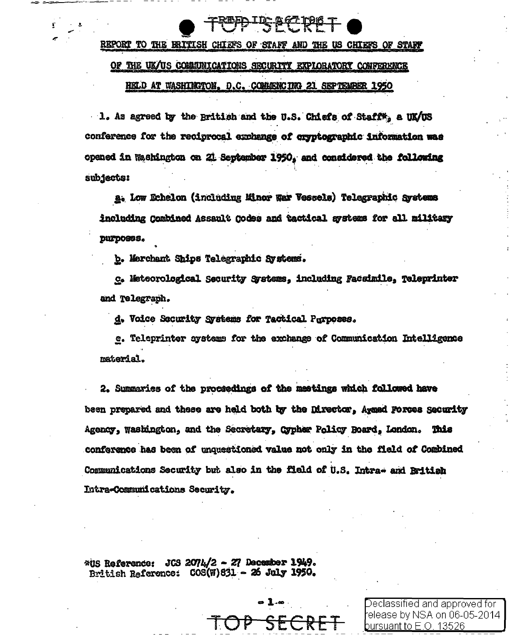## REPORT TO THE ERITISH CHIEFS OF STAFF AND THE US CHIEFS OF STAFF

### OF THE UK/US COMMUNICATIONS SECURITY EXPLORATORY CONFERENCE

#### HELD AT WASHINGTON, D.C. COMMENCING 21 SEPTEMBER 1950

1. As agreed by the British and the U.S. Chiefs of Staff\*, a UK/US conference for the reciprocal exchange of cryptographic information was opened in Washington on 21 September 1950, and considered the following **subjects:** 

a. Low Dehelon (including Minor War Vessels) Telegraphic Systems including Combined Assault Codes and tactical systems for all military purposes.

b. Merchant Ships Telegraphic Systems.

c. Meteorological Security Systems, including Facsimile, Teleprinter and Telegraph.

d. Voice Security Svatems for Tactical Parposes.

e. Teleprinter systems for the exchange of Communication Intelligence material.

2. Summaries of the proceedings of the meetings which followed have been prepared and these are held both by the Director, Axmed Forces Security Agency, Washington, and the Secretary, Cypher Policy Board, London. This conference has been of unquestioned value not only in the field of Combined Communications Security but also in the field of U.S. Intra- and British Intra-Communications Security.

JCS 2074/2 - 27 December 1949. **WUS Reference:** British Reference: COS(W)831 - 26 July 1950.

Declassified and approved for l elease by NSA on 06-05-2014 pursuant to E.O. 13526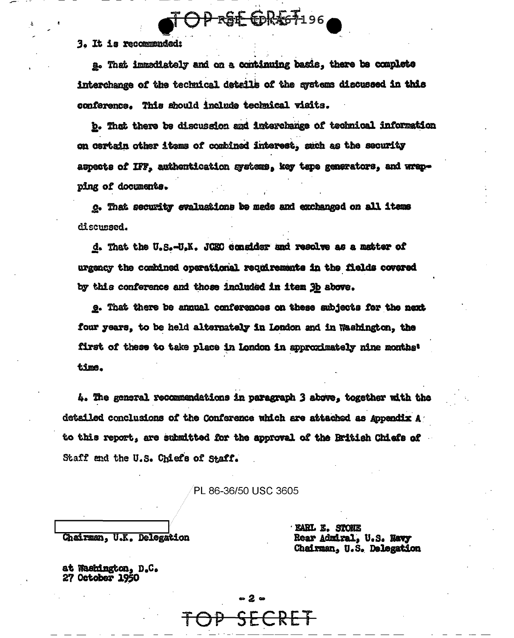3. It is recommended:

a. That immediately and on a continuing basis. there be complete interchange of the technical details of the systems discussed in this conference. This should include technical visits.

OP RSE CORAGF196

b. That there be discussion and interchange of technical information on certain other items of combined interest, such as the security aspects of IFF, authentication systems, key tape generators, and wrapping of documents.

c. That security evaluations be mede and exchanged on all items discussed.

d. That the U.S.-U.K. JOBO consider and resolve as a matter of urgency the combined operational requirements in the fields covered by this conference and those included in item 3b above.

e. That there be annual conferences on these subjects for the next four years, to be held alternately in London and in Washington, the first of these to take place in London in approximately nine months' time.

4. The general recommendations in paragraph 3 above, together with the detailed conclusions of the Conference which are attached as Appendix A to this report, are submitted for the approval of the Rritish Chiefs of Staff and the U.S. Chiefs of Staff.

PL 86-36/50 USC 3605

 $-2-$ 

Chairman, U.K. Delegation

**EARL E. STONE** Rear Admiral, U.S. Navy Chairman, U.S. Delegation

at Washington, D.C. 27 October 1950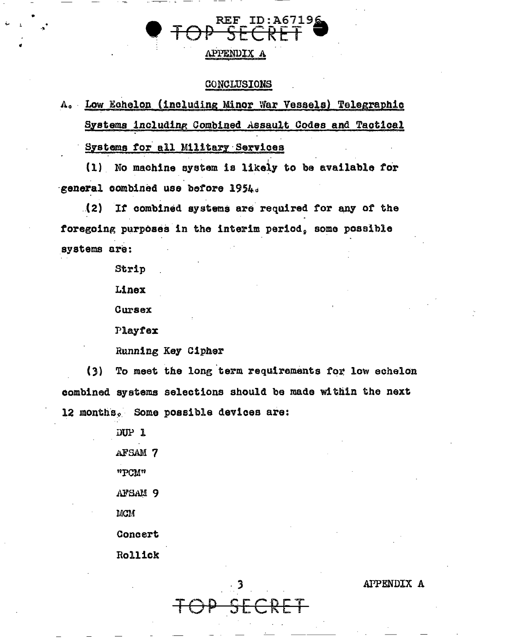APPENDIX A

### CONCLUSIONS

# A. Low Echelon (including Minor War Vessels) Telegraphic Systems including Combined Assault Codes and Tactical

## Systems for all Military Services

(1) No machine system is likely to be available for general combined use before 1954.

(2) If combined systems are required for any of the foregoing purposes in the interim period, some possible systems are:

Strip

Linex

Cursex

Playfex

Running Key Cipher

 $(3)$ To meet the long term requirements for low echelon combined systems selections should be made within the next 12 months. Some possible devices are:

> DUP 1 AFSAM 7 "PCM" AFSAM 9 **MCM** Concert Rollick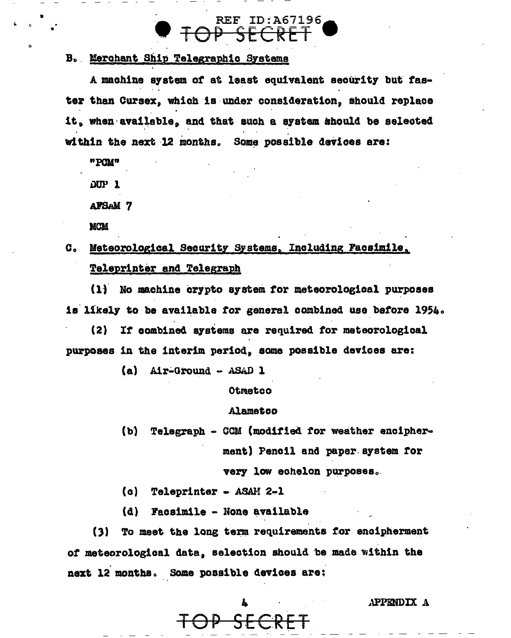## **REF ID: A67196** OP SECR

## B. Merchant Ship Telegraphic Systems

A machine system of at least equivalent security but faster than Cursex, which is under consideration, should replace it, when available, and that such a system should be selected within the next 12 months. Some possible devices are:

"PCM"

DUP<sub>1</sub>

**AFSAM 7** 

**MCM** 

## Meteorological Security Systems. Including Facsimile.  $\mathbf{C}_{\bullet}$ Teleprinter and Telegraph

(1) No machine crypto system for meteorological purposes is likely to be available for general combined use before 1954.

 $(2)$ If combined systems are required for meteorological purposes in the interim period, some possible devices are:

(a) Air-Ground - ASAD 1

Otmetco

### **Alametoo**

 $(b)$ Telegraph - CCM (modified for weather encipherment) Pencil and paper system for very low echelon purposes.

(a) Teleprinter - ASAM 2-1

(d) Facsimile - None available

To meet the long term requirements for encipherment  $(3)$ of meteorological data, selection should be made within the next 12 months. Some possible devices are: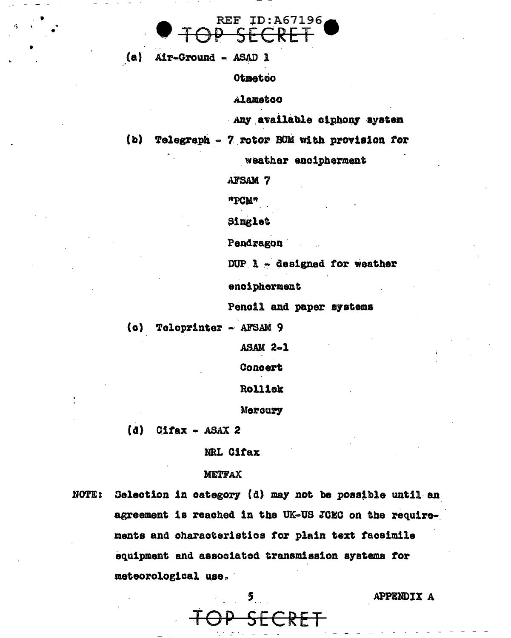

(a) Air-Ground - ASAD 1

Otmetco

Alamatoo

Any available ciphony system

 $(b)$ Telegraph - 7 rotor BOM with provision for

weather encipherment

**AFSAM 7** 

"PCM"

Singlet

Pendragon

DUP  $\lambda$  - designed for weather

encipherment

Pencil and paper systems

(c) Teleprinter - AFSAM 9

**ASAM 2-1** 

Concert

Rollick

Mercury

 $(d)$ Cifax -  $ASAX$  2

NRL Cifax

### **METFAX**

Selection in category (d) may not be possible until an **NOTE:** agreement is reached in the UK-US JCEC on the requirements and characteristics for plain text facsimile equipment and associated transmission systems for meteorological use.

ERE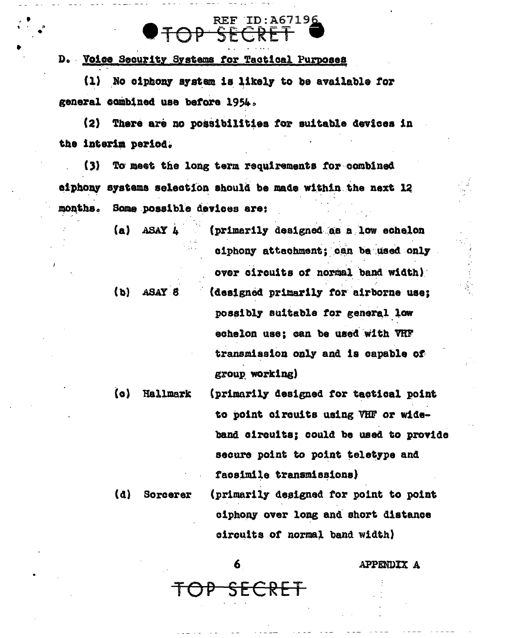# **REF ID: A67196**  $\Theta \rightarrow$

D. Voice Security Systems for Tactical Purposes

(1) No ciphony system is likely to be available for general combined use before 1954.

There are no possibilities for suitable devices in  $(2)$ the interim period.

(3) To meet the long term requirements for combined ciphony systems selection should be made within the next 12 months. Some possible devices are:

| (a)     | the company<br>ASAY 4 | (primarily designed as a low echelon   |
|---------|-----------------------|----------------------------------------|
|         |                       | ciphony attachment; can be used only   |
|         |                       | over circuits of normal band width)    |
| (b)     | ASAY 8                | (designed primarily for airborne use;  |
|         |                       | possibly suitable for general low      |
|         |                       | echelon use; can be used with VHF      |
|         |                       | transmission only and is capable of    |
|         |                       | group working)                         |
| $\{o\}$ | Hallmark              | (primarily designed for tactical point |

to point circuits using VHF or wideband circuits; could be used to provide secure point to point teletype and facsimile transmissions) (primarily designed for point to point  $(d)$ Sorcerer

ciphony over long and short distance circuits of normal band width)

6

SECRET